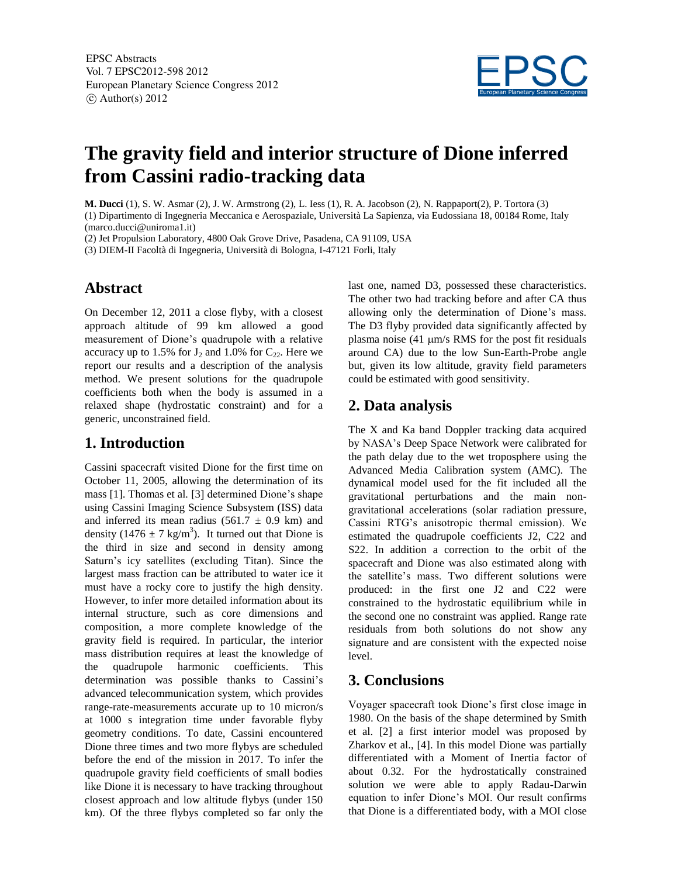

# **The gravity field and interior structure of Dione inferred from Cassini radio-tracking data**

**M. Ducci** (1), S. W. Asmar (2), J. W. Armstrong (2), L. Iess (1), R. A. Jacobson (2), N. Rappaport(2), P. Tortora (3) (1) Dipartimento di Ingegneria Meccanica e Aerospaziale, Università La Sapienza, via Eudossiana 18, 00184 Rome, Italy

(marco.ducci@uniroma1.it)

(2) Jet Propulsion Laboratory, 4800 Oak Grove Drive, Pasadena, CA 91109, USA

(3) DIEM-II Facoltà di Ingegneria, Università di Bologna, I-47121 Forli, Italy

# **Abstract**

On December 12, 2011 a close flyby, with a closest approach altitude of 99 km allowed a good measurement of Dione's quadrupole with a relative accuracy up to 1.5% for  $J_2$  and 1.0% for  $C_{22}$ . Here we report our results and a description of the analysis method. We present solutions for the quadrupole coefficients both when the body is assumed in a relaxed shape (hydrostatic constraint) and for a generic, unconstrained field.

# **1. Introduction**

Cassini spacecraft visited Dione for the first time on October 11, 2005, allowing the determination of its mass [1]. Thomas et al*.* [3] determined Dione's shape using Cassini Imaging Science Subsystem (ISS) data and inferred its mean radius  $(561.7 \pm 0.9 \text{ km})$  and density (1476  $\pm$  7 kg/m<sup>3</sup>). It turned out that Dione is the third in size and second in density among Saturn's icy satellites (excluding Titan). Since the largest mass fraction can be attributed to water ice it must have a rocky core to justify the high density. However, to infer more detailed information about its internal structure, such as core dimensions and composition, a more complete knowledge of the gravity field is required. In particular, the interior mass distribution requires at least the knowledge of the quadrupole harmonic coefficients. This determination was possible thanks to Cassini's advanced telecommunication system, which provides range-rate-measurements accurate up to 10 micron/s at 1000 s integration time under favorable flyby geometry conditions. To date, Cassini encountered Dione three times and two more flybys are scheduled before the end of the mission in 2017. To infer the quadrupole gravity field coefficients of small bodies like Dione it is necessary to have tracking throughout closest approach and low altitude flybys (under 150 km). Of the three flybys completed so far only the

last one, named D3, possessed these characteristics. The other two had tracking before and after CA thus allowing only the determination of Dione's mass. The D3 flyby provided data significantly affected by plasma noise  $(41 \mu m/s$  RMS for the post fit residuals around CA) due to the low Sun-Earth-Probe angle but, given its low altitude, gravity field parameters could be estimated with good sensitivity.

#### **2. Data analysis**

The X and Ka band Doppler tracking data acquired by NASA's Deep Space Network were calibrated for the path delay due to the wet troposphere using the Advanced Media Calibration system (AMC). The dynamical model used for the fit included all the gravitational perturbations and the main nongravitational accelerations (solar radiation pressure, Cassini RTG's anisotropic thermal emission). We estimated the quadrupole coefficients J2, C22 and S22. In addition a correction to the orbit of the spacecraft and Dione was also estimated along with the satellite's mass. Two different solutions were produced: in the first one J2 and C22 were constrained to the hydrostatic equilibrium while in the second one no constraint was applied. Range rate residuals from both solutions do not show any signature and are consistent with the expected noise level.

#### **3. Conclusions**

Voyager spacecraft took Dione's first close image in 1980. On the basis of the shape determined by Smith et al. [2] a first interior model was proposed by Zharkov et al., [4]. In this model Dione was partially differentiated with a Moment of Inertia factor of about 0.32. For the hydrostatically constrained solution we were able to apply Radau-Darwin equation to infer Dione's MOI. Our result confirms that Dione is a differentiated body, with a MOI close